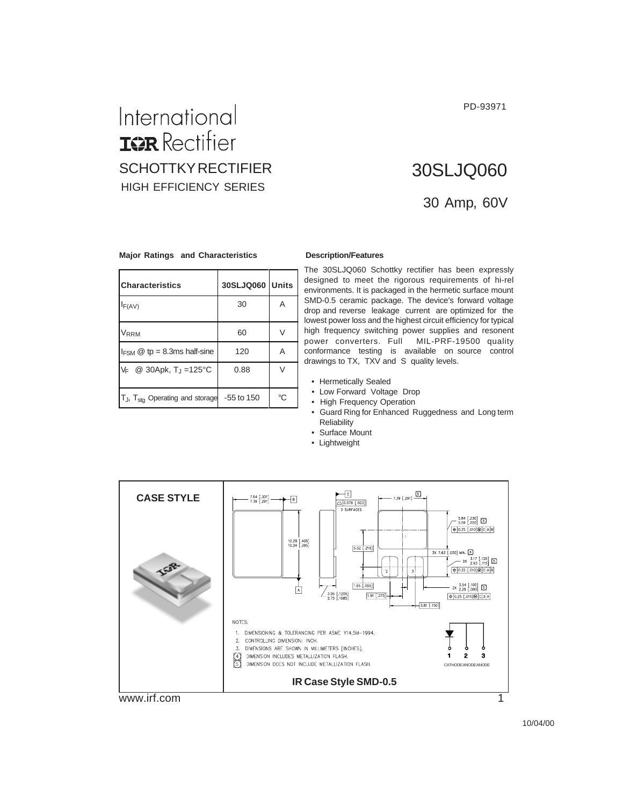PD-93971

### International **IGR** Rectifier SCHOTTKY RECTIFIER HIGH EFFICIENCY SERIES

## 30 Amp, 60V 30SLJQ060

#### **Major Ratings and Characteristics Description/Features**

| <b>Characteristics</b>                                      | 30SLJQ060 Units |    |
|-------------------------------------------------------------|-----------------|----|
| $I_{F(AV)}$                                                 | 30              | A  |
| <b>VRRM</b>                                                 | 60              | V  |
| $I_{FSM}$ @ tp = 8.3ms half-sine                            | 120             | Α  |
| $V_F$ @ 30Apk, T <sub>J</sub> =125 °C                       | 0.88            | V  |
| $T_{J}$ , $T_{\text{std}}$ Operating and storage -55 to 150 |                 | °C |

The 30SLJQ060 Schottky rectifier has been expressly designed to meet the rigorous requirements of hi-rel environments. It is packaged in the hermetic surface mount SMD-0.5 ceramic package. The device's forward voltage drop and reverse leakage current are optimized for the lowest power loss and the highest circuit efficiency for typical high frequency switching power supplies and resonent power converters. Full MIL-PRF-19500 quality conformance testing is available on source control drawings to TX, TXV and S quality levels.

- Hermetically Sealed
- Low Forward Voltage Drop
- High Frequency Operation
	- Guard Ring for Enhanced Ruggedness and Long term Reliability
	- Surface Mount
	- Lightweight

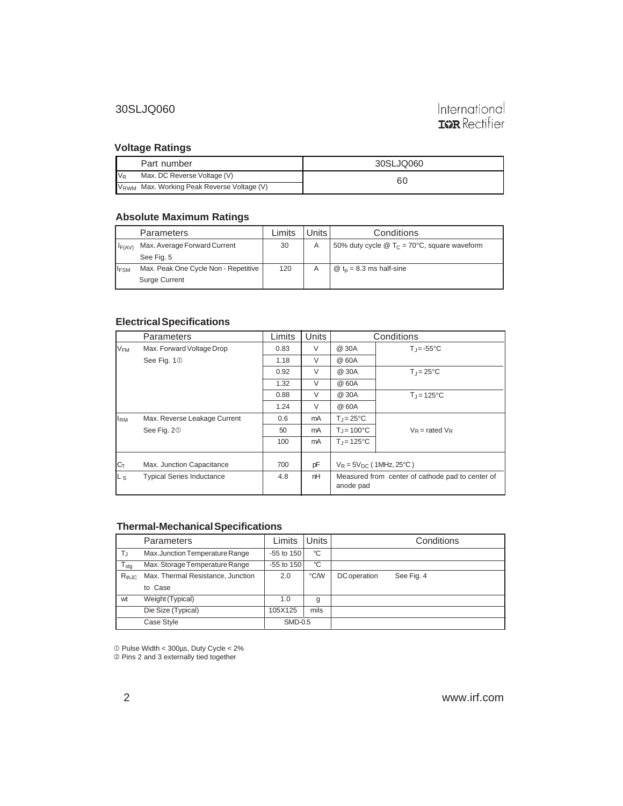#### **Voltage Ratings**

|       | Part number                                            | 30SLJQ060 |
|-------|--------------------------------------------------------|-----------|
| $V_R$ | Max. DC Reverse Voltage (V)                            | 60        |
|       | V <sub>RWM</sub> Max. Working Peak Reverse Voltage (V) |           |

#### **Absolute Maximum Ratings**

|                  | Parameters                           | ∟imits | ⊥Units <sup>∣</sup> | Conditions                                                        |
|------------------|--------------------------------------|--------|---------------------|-------------------------------------------------------------------|
| $I_{F(AV)}$      | Max. Average Forward Current         | 30     | A                   | 50% duty cycle $\circledR$ T <sub>C</sub> = 70°C, square waveform |
|                  | See Fig. 5                           |        |                     |                                                                   |
| I <sub>FSM</sub> | Max. Peak One Cycle Non - Repetitive | 120    |                     | $\omega$ t <sub>n</sub> = 8.3 ms half-sine                        |
|                  | <b>Surge Current</b>                 |        |                     |                                                                   |

#### **Electrical Specifications**

|                        | Parameters                       | Limits | <b>Units</b> | Conditions                                                    |                                |
|------------------------|----------------------------------|--------|--------------|---------------------------------------------------------------|--------------------------------|
| $V_{FM}$               | Max. Forward Voltage Drop        | 0.83   | $\vee$       | @ 30A                                                         | $T_{\parallel} = -55^{\circ}C$ |
|                        | See Fig. 1 <sup>1</sup>          | 1.18   | V            | @ 60A                                                         |                                |
|                        |                                  | 0.92   | $\vee$       | @ 30A                                                         | $T_{\rm d}$ = 25°C             |
|                        |                                  | 1.32   | $\vee$       | @ 60A                                                         |                                |
|                        |                                  | 0.88   | V            | @ 30A                                                         | $T_i = 125^{\circ}C$           |
|                        |                                  | 1.24   | $\vee$       | @ 60A                                                         |                                |
| <b>I</b> <sub>RM</sub> | Max. Reverse Leakage Current     | 0.6    | mA           | $T_{\rm J}$ = 25°C                                            |                                |
|                        | See Fig. 20                      | 50     | mA           | $T_{\text{d}} = 100^{\circ}C$                                 | $V_R$ = rated $V_R$            |
|                        |                                  | 100    | mA           | $T_{\text{J}}$ = 125°C                                        |                                |
| $C_T$                  | Max. Junction Capacitance        | 700    | pF           | $V_R = 5V_{DC}$ (1MHz, 25°C)                                  |                                |
| L <sub>S</sub>         | <b>Typical Series Inductance</b> | 4.8    | nH           | Measured from center of cathode pad to center of<br>anode pad |                                |

#### **Thermal-Mechanical Specifications**

|               | <b>Parameters</b>                 | Limits       | Units |              | Conditions |
|---------------|-----------------------------------|--------------|-------|--------------|------------|
| $T_{\rm J}$   | Max.Junction Temperature Range    | $-55$ to 150 | °C    |              |            |
| $T_{\sf stg}$ | Max. Storage Temperature Range    | $-55$ to 150 | °C    |              |            |
| $R_{th,JC}$   | Max. Thermal Resistance, Junction | 2.0          | °C/W  | DC operation | See Fig. 4 |
|               | to Case                           |              |       |              |            |
| wt            | Weight (Typical)                  | 1.0          | g     |              |            |
|               | Die Size (Typical)                | 105X125      | mils  |              |            |
|               | Case Style                        | SMD-0.5      |       |              |            |

Pulse Width < 300µs, Duty Cycle < 2%

Pins 2 and 3 externally tied together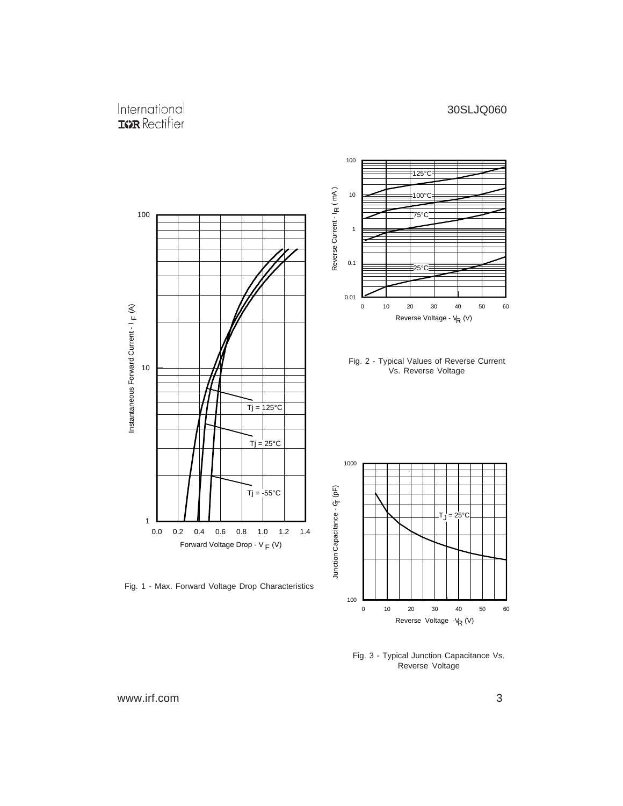#### International **IGR** Rectifier



Fig. 3 - Typical Junction Capacitance Vs. Reverse Voltage

Reverse Voltage -V<sub>R</sub> (V)

www.irf.com 3